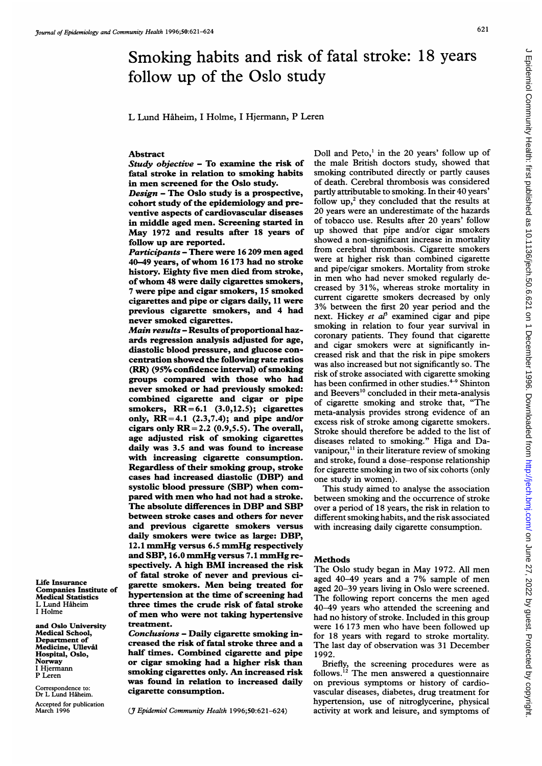# Smoking habits and risk of fatal stroke: 18 years follow up of the Oslo study

L Lund Haheim, <sup>I</sup> Holme, <sup>I</sup> Hjermann, P Leren

## Abstract

Study objective - To examine the risk of fatal stroke in relation to smoking habits in men screened for the Oslo study.

 $Design$  – The Oslo study is a prospective, cohort study of the epidemiology and preventive aspects of cardiovascular diseases in middle aged men. Screening started in May <sup>1972</sup> and results after <sup>18</sup> years of follow up are reported.

Participants - There were <sup>16</sup> 209 men aged 40-49 years, of whom <sup>16</sup> <sup>173</sup> had no stroke history. Eighty five men died from stroke, ofwhom <sup>48</sup> were daily cigarettes smokers, 7 were pipe and cigar smokers, 15 smoked cigarettes and pipe or cigars daily, <sup>11</sup> were previous cigarette smokers, and 4 had never smoked cigarettes.

Main results - Results of proportional hazards regression analysis adjusted for age, diastolic blood pressure, and glucose concentration showed the following rate ratios (RR) (95% confidence interval) of smoking groups compared with those who had never smoked or had previously smoked: combined cigarette and cigar or pipe smokers,  $RR = 6.1$  (3.0,12.5); cigarettes only,  $RR=4.1$  (2.3,7.4); and pipe and/or cigars only  $RR = 2.2$  (0.9,5.5). The overall, age adjusted risk of smoking cigarettes daily was 3.5 and was found to increase with increasing cigarette consumption. Regardless of their smoking group, stroke cases had increased diastolic (DBP) and systolic blood pressure (SBP) when compared with men who had not had a stroke. The absolute differences in DBP and SBP between stroke cases and others for never and previous cigarette smokers versus daily smokers were twice as large: DBP, 12.1 mmHg versus 6.5 mmHg respectively and SBP, 16.0 mmHg versus 7.1 mmHg respectively. A high BMI increased the risk of fatal stroke of never and previous cigarette smokers. Men being treated for hypertension at the time of screening had three times the crude risk of fatal stroke of men who were not taking hypertensive treatment.

Conclusions - Daily cigarette smoking increased the risk of fatal stroke three and a half times. Combined cigarette and pipe or cigar smoking had a higher risk than smoking cigarettes only. An increased risk was found in relation to increased daily cigarette consumption.

(J7 Epidemiol Community Health 1996;50:621-624)

Life Insurance Companies Institute of Medical Statistics L Lund Hiheim <sup>I</sup> Holme

Norway <sup>I</sup> Hjermann P Leren

Correspondence to: Dr L Lund Håheim. Accepted for publication March 1996

and Oslo University Medical School, Department of Medicine, Ulleval Hospital, Oslo,

Doll and Peto,' in the 20 years' follow up of the male British doctors study, showed that smoking contributed directly or partly causes of death. Cerebral thrombosis was considered partly attributable to smoking. In their 40 years' follow  $up,^2$  they concluded that the results at 20 years were an underestimate of the hazards of tobacco use. Results after 20 years' follow up showed that pipe and/or cigar smokers showed a non-significant increase in mortality from cerebral thrombosis. Cigarette smokers were at higher risk than combined cigarette and pipe/cigar smokers. Mortality from stroke in men who had never smoked regularly decreased by 31 %, whereas stroke mortality in current cigarette smokers decreased by only 3% between the first 20 year period and the next. Hickey et  $a^{\beta}$  examined cigar and pipe smoking in relation to four year survival in coronary patients. They found that cigarette and cigar smokers were at significantly increased risk and that the risk in pipe smokers was also increased but not significantly so. The risk of stroke associated with cigarette smoking has been confirmed in other studies.<sup>4-9</sup> Shinton and Beevers<sup>10</sup> concluded in their meta-analysis of cigarette smoking and stroke that, "The meta-analysis provides strong evidence of an excess risk of stroke among cigarette smokers. Stroke should therefore be added to the list of diseases related to smoking." Higa and Davanipour,<sup>11</sup> in their literature review of smoking and stroke, found a dose-response relationship for cigarette smoking in two of six cohorts (only one study in women).

This study aimed to analyse the association between smoking and the occurrence of stroke over a period of 18 years, the risk in relation to different smoking habits, and the risk associated with increasing daily cigarette consumption.

### **Methods**

The Oslo study began in May 1972. All men aged 40-49 years and <sup>a</sup> 7% sample of men aged 20-39 years living in Oslo were screened. The following report concerns the men aged 40-49 years who attended the screening and had no history of stroke. Included in this group were 16 173 men who have been followed up for 18 years with regard to stroke mortality. The last day of observation was 31 December 1992.

Briefly, the screening procedures were as follows."2 The men answered <sup>a</sup> questionnaire on previous symptoms or history of cardiovascular diseases, diabetes, drug treatment for hypertension, use of nitroglycerine, physical activity at work and leisure, and symptoms of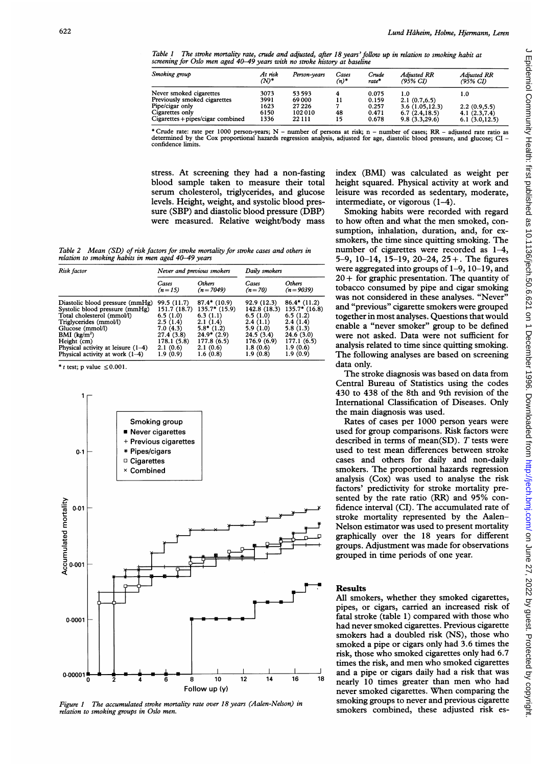Table <sup>1</sup> The stroke mortality rate, crude and adjusted, after 18 years'follow up in relation to smoking habit at screening for Oslo men aged 40-49 years with no stroke history at baseline

| Smoking group                     | At risk<br>$(N)^*$ | Person-vears | Cases<br>$(n)^*$ | Crude<br>rate* | <b>Adjusted RR</b><br>(95% CI) | Adjusted RR<br>(95% CI) |
|-----------------------------------|--------------------|--------------|------------------|----------------|--------------------------------|-------------------------|
| Never smoked cigarettes           | 3073               | 53593        |                  | 0.075          | 1.0                            | 1.0                     |
| Previously smoked cigarettes      | 3991               | 69 000       |                  | 0.159          | 2.1(0.7,6.5)                   |                         |
| Pipe/cigar only                   | 1623               | 27 2 2 6     |                  | 0.257          | 3.6(1.05, 12.3)                | 2.2(0.9,5.5)            |
| Cigarettes only                   | 6150               | 102010       | 48               | 0.471          | 6.7(2.4, 18.5)                 | 4.1(2.3,7.4)            |
| Cigarettes + pipes/cigar combined | 1336               | 22 11 1      | 15               | 0.678          | 9.8(3.3,29.6)                  | 6.1(3.0, 12.5)          |

\* Crude rate: rate per 1000 person-years; N – number of persons at risk; n – number of cases; RR – adjusted rate ratio as<br>determined by the Cox proportional hazards regression analysis, adjusted for age, diastolic blood pr confidence limits.

stress. At screening they had a non-fasting blood sample taken to measure their total serum cholesterol, triglycerides, and glucose levels. Height, weight, and systolic blood pressure (SBP) and diastolic blood pressure (DBP) were measured. Relative weight/body mass

index (BMI) was calculated as weight per height squared. Physical activity at work and leisure was recorded as sedentary, moderate, intermediate, or vigorous (1-4).

Smoking habits were recorded with regard to how often and what the men smoked, consumption, inhalation, duration, and, for exsmokers, the time since quitting smoking. The number of cigarettes were recorded as 1-4, 5-9, 10-14, 15-19, 20-24, 25 +. The figures were aggregated into groups of 1-9, 10-19, and  $20 +$  for graphic presentation. The quantity of tobacco consumed by pipe and cigar smoking was not considered in these analyses. "Never" and "previous" cigarette smokers were grouped together in most analyses. Questions that would enable a "never smoker" group to be defined were not asked. Data were not sufficient for analysis related to time since quitting smoking. The following analyses are based on screening data only.

The stroke diagnosis was based on data from Central Bureau of Statistics using the codes 430 to 438 of the 8th and 9th revision of the International Classification of Diseases. Only the main diagnosis was used.

Rates of cases per 1000 person years were used for group comparisons. Risk factors were described in terms of mean(SD).  $T$  tests were used to test mean differences between stroke cases and others for daily and non-daily smokers. The proportional hazards regression analysis (Cox) was used to analyse the risk factors' predictivity for stroke mortality presented by the rate ratio (RR) and 95% confidence interval (CI). The accumulated rate of stroke mortality represented by the Aalen-Nelson estimator was used to present mortality graphically over the 18 years for different groups. Adjustment was made for observations grouped in time periods of one year.

#### Results

All smokers, whether they smoked cigarettes, pipes, or cigars, carried an increased risk of fatal stroke (table 1) compared with those who had never smoked cigarettes. Previous cigarette smokers had a doubled risk (NS), those who smoked a pipe or cigars only had 3.6 times the risk, those who smoked cigarettes only had 6.7 times the risk, and men who smoked cigarettes and a pipe or cigars daily had a risk that was nearly <sup>10</sup> times greater than men who had never smoked cigarettes. When comparing the smoking groups to never and previous cigarette smokers combined, these adjusted risk es-

Table 2 Mean (SD) of risk factors for stroke mortality for stroke cases and others in relation to smoking habits in men aged 40-49 years

| Risk factor                          | Never and previous smokers |                 | Daily smokers |                 |
|--------------------------------------|----------------------------|-----------------|---------------|-----------------|
|                                      | Cases                      | <b>Others</b>   | Cases         | <b>Others</b>   |
|                                      | $(n=15)$                   | $(n=7049)$      | $(n = 70)$    | $(n=9039)$      |
| Diastolic blood pressure (mmHg)      | 99.5 (11.7)                | $87.4*$ (10.9)  | 92.9 (12.3)   | $86.4*$ (11.2)  |
| Systolic blood pressure (mmHg)       | 151.7(18.7)                | $135.7*$ (15.9) | 142.8 (18.3)  | $135.7*$ (16.8) |
| Total cholesterol (mmol/l)           | 6.5(1.0)                   | 6.3(1.1)        | 6.5(1.0)      | 6.5(1.2)        |
| Triglycerides (mmol/l)               | 2.5(1.4)                   | 2.1(1.4)        | 2.4(1.1)      | 2.4(1.4)        |
| Glucose (mmol/l)                     | 7.0(4.3)                   | $5.8*$ (1.2)    | 5.9(1.0)      | 5.8(1.3)        |
| BMI (kg/m <sup>2</sup> )             | 27.4 (3.8)                 | $24.9*$ (2.9)   | 24.5 (3.4)    | 24.6(3.0)       |
| Height (cm)                          | 178.1 (5.8)                | 177.8(6.5)      | 176.9(6.9)    | 177.1(6.5)      |
| Physical activity at leisure $(1-4)$ | 2.1(0.6)                   | 2.1(0.6)        | 1.8(0.6)      | 1.9(0.6)        |
| Physical activity at work $(1-4)$    | 1.9(0.9)                   | 1.6(0.8)        | 1.9(0.8)      | 1.9(0.9)        |

\* t test; p value  $\leq 0.001$ .



Figure <sup>I</sup> The accumulated stroke mortality rate over 18 years (Aalen-Nelson) in relation to smoking groups in Oslo men.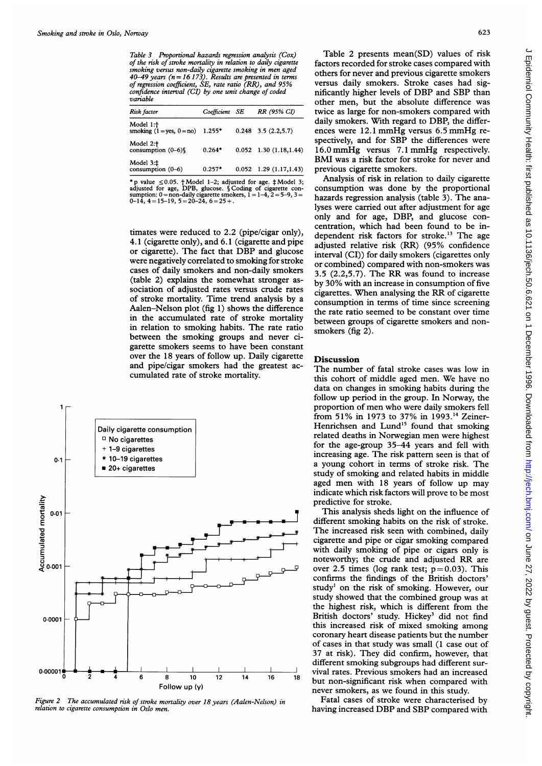Table 3 Proportional hazards regression analysis (Cox) of the risk of stroke mortality in relation to daily cigarette smoking versus non-daily cigarette smoking in men aged  $40-49$  years ( $n = 16$  173). Results are presented in terms of regression coefficient, SE, rate ratio (RR), and 95% confidence interval (CI) by one unit change of coded variable

| Risk factor                                                 | Coefficient SE | RR (95% CI)                       |
|-------------------------------------------------------------|----------------|-----------------------------------|
| Model 1: <sup>+</sup><br>smoking $(1 = yes, 0 = no)$ 1.255* |                | $0.248$ 3.5 $(2.2,5.7)$           |
| Model 2: $\uparrow$ consumption (0–6)§                      | $0.264*$       | $0.052$ 1.30 (1.18,1.44)          |
| Model $3:\ddagger$ consumption $(0-6)$                      | $0.257*$       | $0.052 \quad 1.29 \ (1.17, 1.43)$ |

\* p value  $\leq 0.05$ . † Model 1-2; adjusted for age. ‡ Model 3; adjusted for age, DPB, glucose. § Coding of cigarette con-<br>sumption: 0 = non-daily cigarette smokers, 1 = 1-4, 2 = 5-9, 3 =<br>0-14, 4 = 15-19, 5 = 20-24, 6 = 2

timates were reduced to 2.2 (pipe/cigar only), 4.1 (cigarette only), and 6.1 (cigarette and pipe or cigarette). The fact that DBP and glucose were negatively correlated to smoking for stroke cases of daily smokers and non-daily smokers (table 2) explains the somewhat stronger association of adjusted rates versus crude rates of stroke mortality. Time trend analysis by a Aalen-Nelson plot (fig 1) shows the difference in the accumulated rate of stroke mortality in relation to smoking habits. The rate ratio between the smoking groups and never cigarette smokers seems to have been constant over the 18 years of follow up. Daily cigarette **Discussion** and pipe/cigar smokers had the greatest ac-<br>The number of fatal stroke cases was low in cumulated rate of stroke mortality.



Figure 2 The accumulated risk of stroke mortality over 18 years (Aalen-Nelson) in relation to cigarette consumption in Oslo men.

Table 2 presents mean(SD) values of risk factors recorded for stroke cases compared with others for never and previous cigarette smokers versus daily smokers. Stroke cases had significantly higher levels of DBP and SBP than other men, but the absolute difference was twice as large for non-smokers compared with daily smokers. With regard to DBP, the differences were 12.1 mmHg versus 6.5 mmHg respectively, and for SBP the differences were 16.0 mmHg versus 7.1 mmHg respectively. BMI was <sup>a</sup> risk factor for stroke for never and previous cigarette smokers.

Analysis of risk in relation to daily cigarette consumption was done by the proportional hazards regression analysis (table 3). The analyses were carried out after adjustment for age only and for age, DBP, and glucose concentration, which had been found to be independent risk factors for stroke.<sup>13</sup> The age adjusted relative risk (RR) (95% confidence interval (CI)) for daily smokers (cigarettes only or combined) compared with non-smokers was 3.5 (2.2,5.7). The RR was found to increase by 30% with an increase in consumption of five cigarettes. When analysing the RR of cigarette consumption in terms of time since screening the rate ratio seemed to be constant over time between groups of cigarette smokers and nonsmokers (fig 2).

The number of fatal stroke cases was low in this cohort of middle aged men. We have no data on changes in smoking habits during the follow up period in the group. In Norway, the proportion of men who were daily smokers fell from 51% in 1973 to 37% in 1993.<sup>14</sup> Zeiner-Henrichsen and Lund<sup>15</sup> found that smoking tte consumption Henrichsen and Lund'5 found that smoking ettes relative relative to the control of the control of the control of the control of the control of the control of the control of the control of the control of the control of the control of the control of the control of ettes increasing age. The risk pattern seen is that of arettes increasing age. The risk pattern seen is that of a young cohort in terms of stroke risk. The study of smoking and related habits in middle aged men with <sup>18</sup> years of follow up may indicate which risk factors will prove to be most predictive for stroke.

This analysis sheds light on the influence of different smoking habits on the risk of stroke. The increased risk seen with combined, daily cigarette and pipe or cigar smoking compared with daily smoking of pipe or cigars only is noteworthy; the crude and adjusted RR are over 2.5 times (log rank test;  $p=0.03$ ). This confirms the findings of the British doctors' study' on the risk of smoking. However, our study showed that the combined group was at the highest risk, which is different from the British doctors' study. Hickey<sup>3</sup> did not find this increased risk of mixed smoking among coronary heart disease patients but the number of cases in that study was small (1 case out of 37 at risk). They did confirm, however, that different smoking subgroups had different sur-

Fatal cases of stroke were characterised by having increased DBP and SBP compared with